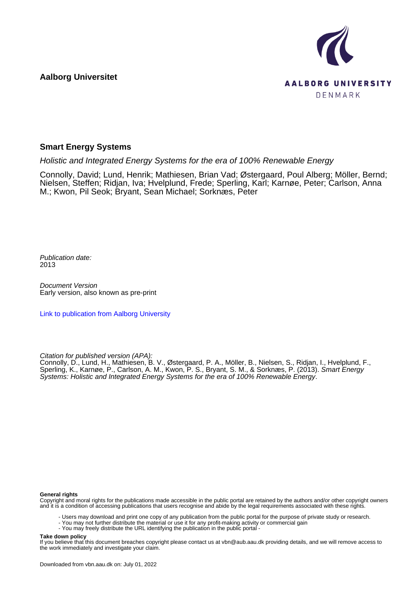**Aalborg Universitet**



#### **Smart Energy Systems**

Holistic and Integrated Energy Systems for the era of 100% Renewable Energy

Connolly, David; Lund, Henrik; Mathiesen, Brian Vad; Østergaard, Poul Alberg; Möller, Bernd; Nielsen, Steffen; Ridjan, Iva; Hvelplund, Frede; Sperling, Karl; Karnøe, Peter; Carlson, Anna M.; Kwon, Pil Seok; Bryant, Sean Michael; Sorknæs, Peter

Publication date: 2013

Document Version Early version, also known as pre-print

[Link to publication from Aalborg University](https://vbn.aau.dk/en/publications/ea354fdf-b1aa-46e0-8bd7-349695be9205)

Citation for published version (APA):

Connolly, D., Lund, H., Mathiesen, B. V., Østergaard, P. A., Möller, B., Nielsen, S., Ridjan, I., Hvelplund, F., Sperling, K., Karnøe, P., Carlson, A. M., Kwon, P. S., Bryant, S. M., & Sorknæs, P. (2013). Smart Energy Systems: Holistic and Integrated Energy Systems for the era of 100% Renewable Energy.

#### **General rights**

Copyright and moral rights for the publications made accessible in the public portal are retained by the authors and/or other copyright owners and it is a condition of accessing publications that users recognise and abide by the legal requirements associated with these rights.

- Users may download and print one copy of any publication from the public portal for the purpose of private study or research.

- You may not further distribute the material or use it for any profit-making activity or commercial gain
- You may freely distribute the URL identifying the publication in the public portal -

#### **Take down policy**

If you believe that this document breaches copyright please contact us at vbn@aub.aau.dk providing details, and we will remove access to the work immediately and investigate your claim.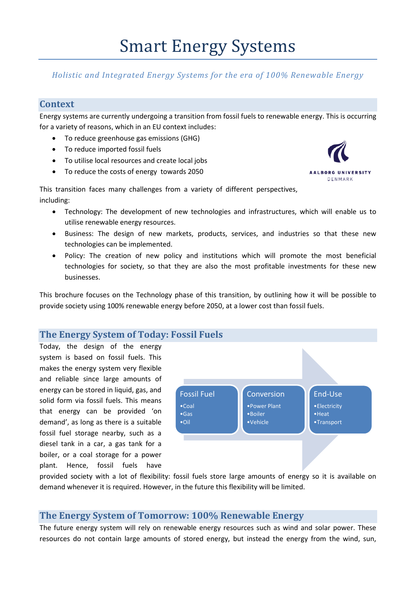# *Holistic and Integrated Energy Systems for the era of 100% Renewable Energy*

# **Context**

Energy systems are currently undergoing a transition from fossil fuels to renewable energy. This is occurring for a variety of reasons, which in an EU context includes:

- To reduce greenhouse gas emissions (GHG)
- To reduce imported fossil fuels
- To utilise local resources and create local jobs
- To reduce the costs of energy towards 2050



This transition faces many challenges from a variety of different perspectives, including:

- Technology: The development of new technologies and infrastructures, which will enable us to utilise renewable energy resources.
- Business: The design of new markets, products, services, and industries so that these new technologies can be implemented.
- Policy: The creation of new policy and institutions which will promote the most beneficial technologies for society, so that they are also the most profitable investments for these new businesses.

This brochure focuses on the Technology phase of this transition, by outlining how it will be possible to provide society using 100% renewable energy before 2050, at a lower cost than fossil fuels.

# **The Energy System of Today: Fossil Fuels**

Today, the design of the energy system is based on fossil fuels. This makes the energy system very flexible and reliable since large amounts of energy can be stored in liquid, gas, and solid form via fossil fuels. This means that energy can be provided 'on demand', as long as there is a suitable fossil fuel storage nearby, such as a diesel tank in a car, a gas tank for a boiler, or a coal storage for a power plant. Hence, fossil fuels have



provided society with a lot of flexibility: fossil fuels store large amounts of energy so it is available on demand whenever it is required. However, in the future this flexibility will be limited.

### **The Energy System of Tomorrow: 100% Renewable Energy**

The future energy system will rely on renewable energy resources such as wind and solar power. These resources do not contain large amounts of stored energy, but instead the energy from the wind, sun,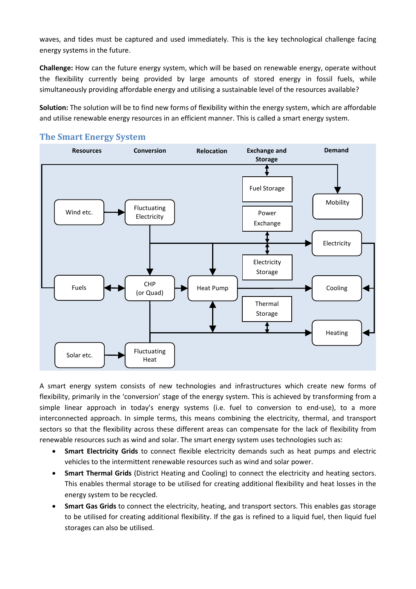waves, and tides must be captured and used immediately. This is the key technological challenge facing energy systems in the future.

**Challenge:** How can the future energy system, which will be based on renewable energy, operate without the flexibility currently being provided by large amounts of stored energy in fossil fuels, while simultaneously providing affordable energy and utilising a sustainable level of the resources available?

**Solution:** The solution will be to find new forms of flexibility within the energy system, which are affordable and utilise renewable energy resources in an efficient manner. This is called a smart energy system.



### **The Smart Energy System**

A smart energy system consists of new technologies and infrastructures which create new forms of flexibility, primarily in the 'conversion' stage of the energy system. This is achieved by transforming from a simple linear approach in today's energy systems (i.e. fuel to conversion to end-use), to a more interconnected approach. In simple terms, this means combining the electricity, thermal, and transport sectors so that the flexibility across these different areas can compensate for the lack of flexibility from renewable resources such as wind and solar. The smart energy system uses technologies such as:

- **Smart Electricity Grids** to connect flexible electricity demands such as heat pumps and electric vehicles to the intermittent renewable resources such as wind and solar power.
- **Smart Thermal Grids** (District Heating and Cooling) to connect the electricity and heating sectors. This enables thermal storage to be utilised for creating additional flexibility and heat losses in the energy system to be recycled.
- **Smart Gas Grids** to connect the electricity, heating, and transport sectors. This enables gas storage to be utilised for creating additional flexibility. If the gas is refined to a liquid fuel, then liquid fuel storages can also be utilised.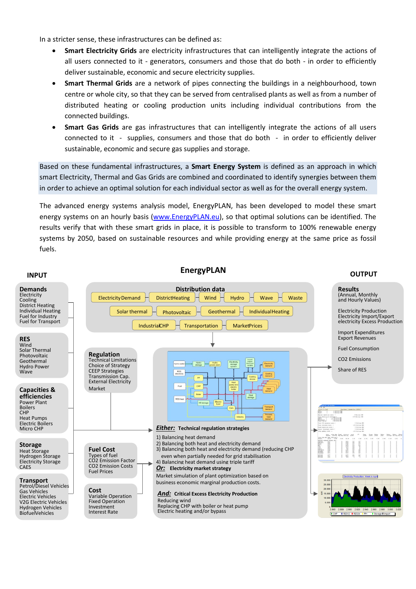In a stricter sense, these infrastructures can be defined as:

- **Smart Electricity Grids** are electricity infrastructures that can intelligently integrate the actions of all users connected to it - generators, consumers and those that do both - in order to efficiently deliver sustainable, economic and secure electricity supplies.
- **Smart Thermal Grids** are a network of pipes connecting the buildings in a neighbourhood, town centre or whole city, so that they can be served from centralised plants as well as from a number of distributed heating or cooling production units including individual contributions from the connected buildings.
- **Smart Gas Grids** are gas infrastructures that can intelligently integrate the actions of all users connected to it - supplies, consumers and those that do both - in order to efficiently deliver sustainable, economic and secure gas supplies and storage.

Based on these fundamental infrastructures, a **Smart Energy System** is defined as an approach in which smart Electricity, Thermal and Gas Grids are combined and coordinated to identify synergies between them in order to achieve an optimal solution for each individual sector as well as for the overall energy system.

The advanced energy systems analysis model, EnergyPLAN, has been developed to model these smart energy systems on an hourly basis [\(www.EnergyPLAN.eu\)](http://www.energyplan.eu/), so that optimal solutions can be identified. The results verify that with these smart grids in place, it is possible to transform to 100% renewable energy systems by 2050, based on sustainable resources and while providing energy at the same price as fossil fuels.